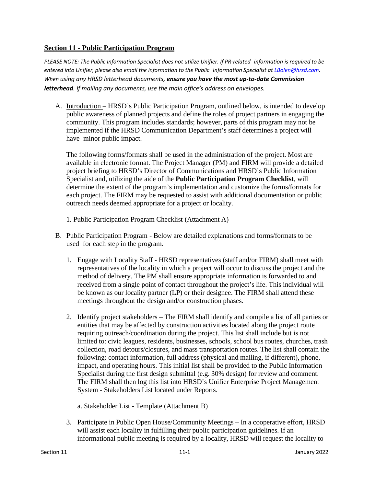## **Section 11 - Public Participation Program**

PLEASE NOTE: The Public Information Specialist does not utilize Unifier. If PR-related information is required to be *entered into Unifier, please also email the information to the Public Information Specialist at [LBolen@hrsd.com.](mailto:LBolen@hrsd.com) When using any HRSD letterhead documents, ensure you have the most up-to-date Commission letterhead. If mailing any documents, use the main office's address on envelopes.*

A. Introduction – HRSD's Public Participation Program, outlined below, is intended to develop public awareness of planned projects and define the roles of project partners in engaging the community. This program includes standards; however, parts of this program may not be implemented if the HRSD Communication Department's staff determines a project will have minor public impact.

The following forms/formats shall be used in the administration of the project. Most are available in electronic format. The Project Manager (PM) and FIRM will provide a detailed project briefing to HRSD's Director of Communications and HRSD's Public Information Specialist and, utilizing the aide of the **Public Participation Program Checklist**, will determine the extent of the program's implementation and customize the forms/formats for each project. The FIRM may be requested to assist with additional documentation or public outreach needs deemed appropriate for a project or locality.

- 1. Public Participation Program Checklist (Attachment A)
- B. Public Participation Program Below are detailed explanations and forms/formats to be used for each step in the program.
	- 1. Engage with Locality Staff HRSD representatives (staff and/or FIRM) shall meet with representatives of the locality in which a project will occur to discuss the project and the method of delivery. The PM shall ensure appropriate information is forwarded to and received from a single point of contact throughout the project's life. This individual will be known as our locality partner (LP) or their designee. The FIRM shall attend these meetings throughout the design and/or construction phases.
	- 2. Identify project stakeholders The FIRM shall identify and compile a list of all parties or entities that may be affected by construction activities located along the project route requiring outreach/coordination during the project. This list shall include but is not limited to: civic leagues, residents, businesses, schools, school bus routes, churches, trash collection, road detours/closures, and mass transportation routes. The list shall contain the following: contact information, full address (physical and mailing, if different), phone, impact, and operating hours. This initial list shall be provided to the Public Information Specialist during the first design submittal (e.g. 30% design) for review and comment. The FIRM shall then log this list into HRSD's Unifier Enterprise Project Management System - Stakeholders List located under Reports.

a. Stakeholder List - Template (Attachment B)

3. Participate in Public Open House/Community Meetings – In a cooperative effort, HRSD will assist each locality in fulfilling their public participation guidelines. If an informational public meeting is required by a locality, HRSD will request the locality to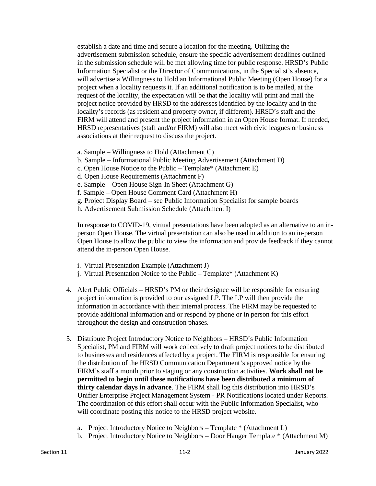establish a date and time and secure a location for the meeting. Utilizing the advertisement submission schedule, ensure the specific advertisement deadlines outlined in the submission schedule will be met allowing time for public response. HRSD's Public Information Specialist or the Director of Communications, in the Specialist's absence, will advertise a Willingness to Hold an Informational Public Meeting (Open House) for a project when a locality requests it. If an additional notification is to be mailed, at the request of the locality, the expectation will be that the locality will print and mail the project notice provided by HRSD to the addresses identified by the locality and in the locality's records (as resident and property owner, if different). HRSD's staff and the FIRM will attend and present the project information in an Open House format. If needed, HRSD representatives (staff and/or FIRM) will also meet with civic leagues or business associations at their request to discuss the project.

- a. Sample Willingness to Hold (Attachment C)
- b. Sample Informational Public Meeting Advertisement (Attachment D)
- c. Open House Notice to the Public Template\* (Attachment E)
- d. Open House Requirements (Attachment F)
- e. Sample Open House Sign-In Sheet (Attachment G)
- f. Sample Open House Comment Card (Attachment H)
- g. Project Display Board see Public Information Specialist for sample boards
- h. Advertisement Submission Schedule (Attachment I)

In response to COVID-19, virtual presentations have been adopted as an alternative to an inperson Open House. The virtual presentation can also be used in addition to an in-person Open House to allow the public to view the information and provide feedback if they cannot attend the in-person Open House.

- i. Virtual Presentation Example (Attachment J)
- j. Virtual Presentation Notice to the Public Template\* (Attachment K)
- 4. Alert Public Officials HRSD's PM or their designee will be responsible for ensuring project information is provided to our assigned LP. The LP will then provide the information in accordance with their internal process. The FIRM may be requested to provide additional information and or respond by phone or in person for this effort throughout the design and construction phases.
- 5. Distribute Project Introductory Notice to Neighbors HRSD's Public Information Specialist, PM and FIRM will work collectively to draft project notices to be distributed to businesses and residences affected by a project. The FIRM is responsible for ensuring the distribution of the HRSD Communication Department's approved notice by the FIRM's staff a month prior to staging or any construction activities. **Work shall not be permitted to begin until these notifications have been distributed a minimum of thirty calendar days in advance**. The FIRM shall log this distribution into HRSD's Unifier Enterprise Project Management System - PR Notifications located under Reports. The coordination of this effort shall occur with the Public Information Specialist, who will coordinate posting this notice to the HRSD project website.
	- a. Project Introductory Notice to Neighbors Template \* (Attachment L)
	- b. Project Introductory Notice to Neighbors Door Hanger Template \* (Attachment M)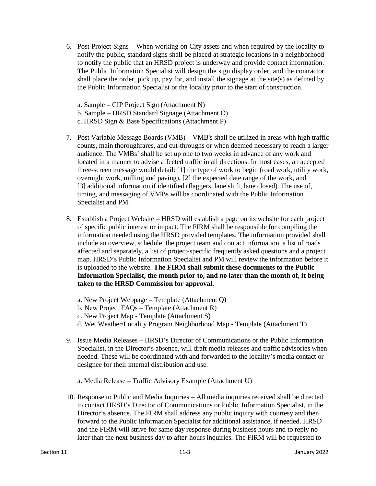- 6. Post Project Signs When working on City assets and when required by the locality to notify the public, standard signs shall be placed at strategic locations in a neighborhood to notify the public that an HRSD project is underway and provide contact information. The Public Information Specialist will design the sign display order, and the contractor shall place the order, pick up, pay for, and install the signage at the site(s) as defined by the Public Information Specialist or the locality prior to the start of construction.
	- a. Sample CIP Project Sign (Attachment N)
	- b. Sample HRSD Standard Signage (Attachment O)
	- c. HRSD Sign & Base Specifications (Attachment P)
- 7. Post Variable Message Boards (VMB) VMB's shall be utilized in areas with high traffic counts, main thoroughfares, and cut-throughs or when deemed necessary to reach a larger audience. The VMBs' shall be set up one to two weeks in advance of any work and located in a manner to advise affected traffic in all directions. In most cases, an accepted three-screen message would detail: [1] the type of work to begin (road work, utility work, overnight work, milling and paving), [2] the expected date range of the work, and [3] additional information if identified (flaggers, lane shift, lane closed). The use of, timing, and messaging of VMBs will be coordinated with the Public Information Specialist and PM.
- 8. Establish a Project Website HRSD will establish a page on its website for each project of specific public interest or impact. The FIRM shall be responsible for compiling the information needed using the HRSD provided templates. The information provided shall include an overview, schedule, the project team and contact information, a list of roads affected and separately, a list of project-specific frequently asked questions and a project map. HRSD's Public Information Specialist and PM will review the information before it is uploaded to the website. **The FIRM shall submit these documents to the Public Information Specialist, the month prior to, and no later than the month of, it being taken to the HRSD Commission for approval.**
	- a. New Project Webpage Template (Attachment Q)
	- b. New Project FAQs Template (Attachment R)
	- c. New Project Map Template (Attachment S)
	- d. Wet Weather/Locality Program Neighborhood Map Template (Attachment T)
- 9. Issue Media Releases HRSD's Director of Communications or the Public Information Specialist, in the Director's absence, will draft media releases and traffic advisories when needed. These will be coordinated with and forwarded to the locality's media contact or designee for their internal distribution and use.
	- a. Media Release Traffic Advisory Example (Attachment U)
- 10. Response to Public and Media Inquiries All media inquiries received shall be directed to contact HRSD's Director of Communications or Public Information Specialist, in the Director's absence. The FIRM shall address any public inquiry with courtesy and then forward to the Public Information Specialist for additional assistance, if needed. HRSD and the FIRM will strive for same day response during business hours and to reply no later than the next business day to after-hours inquiries. The FIRM will be requested to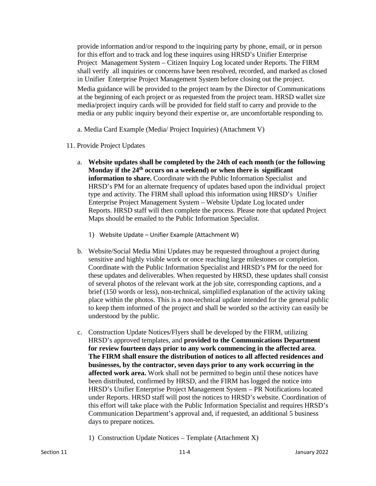provide information and/or respond to the inquiring party by phone, email, or in person for this effort and to track and log these inquires using HRSD's Unifier Enterprise Project Management System – Citizen Inquiry Log located under Reports. The FIRM shall verify all inquiries or concerns have been resolved, recorded, and marked as closed in Unifier Enterprise Project Management System before closing out the project. Media guidance will be provided to the project team by the Director of Communications at the beginning of each project or as requested from the project team. HRSD wallet size media/project inquiry cards will be provided for field staff to carry and provide to the media or any public inquiry beyond their expertise or, are uncomfortable responding to.

a. Media Card Example (Media/ Project Inquiries) (Attachment V)

- 11. Provide Project Updates
	- a. **Website updates shall be completed by the 24th of each month (or the following Monday if the 24th occurs on a weekend) or when there is significant information to share.** Coordinate with the Public Information Specialist and HRSD's PM for an alternate frequency of updates based upon the individual project type and activity. The FIRM shall upload this information using HRSD's Unifier Enterprise Project Management System – Website Update Log located under Reports. HRSD staff will then complete the process. Please note that updated Project Maps should be emailed to the Public Information Specialist.
		- 1) Website Update Unifier Example (Attachment W)
	- b. Website/Social Media Mini Updates may be requested throughout a project during sensitive and highly visible work or once reaching large milestones or completion. Coordinate with the Public Information Specialist and HRSD's PM for the need for these updates and deliverables. When requested by HRSD, these updates shall consist of several photos of the relevant work at the job site, corresponding captions, and a brief (150 words or less), non-technical, simplified explanation of the activity taking place within the photos. This is a non-technical update intended for the general public to keep them informed of the project and shall be worded so the activity can easily be understood by the public.
	- c. Construction Update Notices/Flyers shall be developed by the FIRM, utilizing HRSD's approved templates, and **provided to the Communications Department for review fourteen days prior to any work commencing in the affected area**. **The FIRM shall ensure the distribution of notices to all affected residences and businesses, by the contractor, seven days prior to any work occurring in the affected work area.** Work shall not be permitted to begin until these notices have been distributed, confirmed by HRSD, and the FIRM has logged the notice into HRSD's Unifier Enterprise Project Management System – PR Notifications located under Reports. HRSD staff will post the notices to HRSD's website. Coordination of this effort will take place with the Public Information Specialist and requires HRSD's Communication Department's approval and, if requested, an additional 5 business days to prepare notices.
		- 1) Construction Update Notices Template (Attachment X)